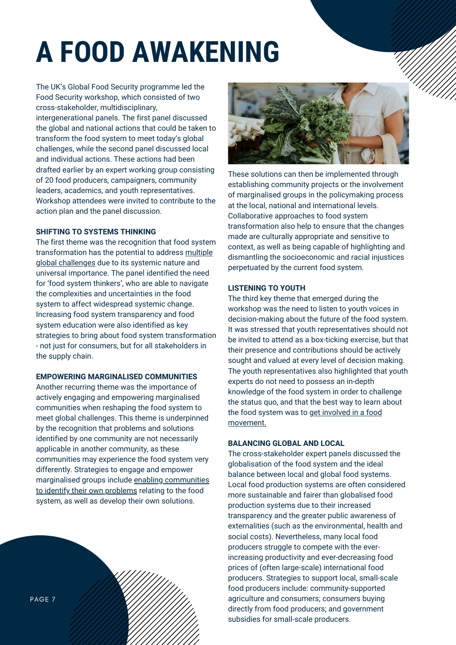# **A FOOD AWAKENING**

The UK's Global Food Security programme led the Food Security workshop, which consisted of two cross-stakeholder, multidisciplinary, intergenerational panels. The first panel discussed the global and national actions that could be taken to transform the food system to meet today's global challenges, while the second panel discussed local and individual actions. These actions had been drafted earlier by an expert working group consisting of 20 food producers, campaigners, community leaders, academics, and youth representatives. Workshop attendees were invited to contribute to the action plan and the panel discussion.

# **SHIFTING TO SYSTEMS THINKING**

The first theme was the recognition that food system transformation has the potential to address multiple global challenges due to its systemic nature and universal importance. The panel identified the need for 'food system thinkers', who are able to navigate the complexities and uncertainties in the food system to affect widespread systemic change. Increasing food system transparency and food system education were also identified as key strategies to bring about food system transformation - not just for consumers, but for all stakeholders in the supply chain.

# **EMPOWERING MARGINALISED COMMUNITIES**

Another recurring theme was the importance of actively engaging and empowering marginalised communities when reshaping the food system to meet global challenges. This theme is underpinned by the recognition that problems and solutions identified by one community are not necessarily applicable in another community, as these communities may experience the food system very differently. Strategies to engage and empower marginalised groups include enabling communities to identify their own problems relating to the food system, as well as develop their own solutions.





These solutions can then be implemented through establishing community projects or the involvement of marginalised groups in the policymaking process at the local, national and international levels. Collaborative approaches to food system transformation also help to ensure that the changes made are culturally appropriate and sensitive to context, as well as being capable of highlighting and dismantling the socioeconomic and racial injustices perpetuated by the current food system.

## **LISTENING TO YOUTH**

The third key theme that emerged during the workshop was the need to listen to youth voices in decision-making about the future of the food system. It was stressed that youth representatives should not be invited to attend as a box-ticking exercise, but that their presence and contributions should be actively sought and valued at every level of decision making. The youth representatives also highlighted that youth experts do not need to possess an in-depth knowledge of the food system in order to challenge the status quo, and that the best way to learn about the food system was to get involved in a food movement.

#### **BALANCING GLOBAL AND LOCAL**

The cross-stakeholder expert panels discussed the globalisation of the food system and the ideal balance between local and global food systems. Local food production systems are often considered more sustainable and fairer than globalised food production systems due to their increased transparency and the greater public awareness of externalities (such as the environmental, health and social costs). Nevertheless, many local food producers struggle to compete with the everincreasing productivity and ever-decreasing food prices of (often large-scale) international food producers. Strategies to support local, small-scale food producers include: community-supported agriculture and consumers; consumers buying directly from food producers; and government subsidies for small-scale producers.